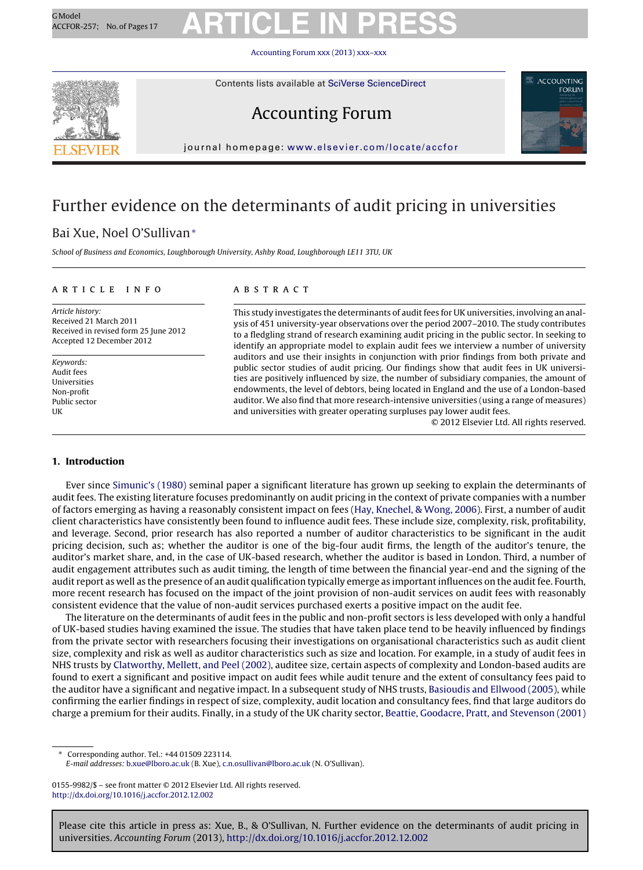# GModel ARTICLE IN PRESS

Accounting Forum [xxx \(2013\) xxx–xxx](dx.doi.org/10.1016/j.accfor.2012.12.002)



Contents lists available at SciVerse [ScienceDirect](http://www.sciencedirect.com/science/journal/01559982)

## Accounting Forum



jour nal homepage: [www.elsevier.com/locate/accfor](http://www.elsevier.com/locate/accfor)

### Further evidence on the determinants of audit pricing in universities

### Bai Xue, Noel O'Sullivan<sup>∗</sup>

School of Business and Economics, Loughborough University, Ashby Road, Loughborough LE11 3TU, UK

#### ARTICLE INFO

Article history: Received 21 March 2011 Received in revised form 25 June 2012 Accepted 12 December 2012

Keywords: Audit fees Universities Non-profit Public sector UK

#### A B S T R A C T

This study investigates the determinants of audit fees for UK universities, involving an analysis of 451 university-year observations over the period 2007–2010. The study contributes to a fledgling strand of research examining audit pricing in the public sector. In seeking to identify an appropriate model to explain audit fees we interview a number of university auditors and use their insights in conjunction with prior findings from both private and public sector studies of audit pricing. Our findings show that audit fees in UK universities are positively influenced by size, the number of subsidiary companies, the amount of endowments, the level of debtors, being located in England and the use of a London-based auditor. We also find that more research-intensive universities (using a range of measures) and universities with greater operating surpluses pay lower audit fees.

© 2012 Elsevier Ltd. All rights reserved.

#### **1. Introduction**

Ever since [Simunic's](#page--1-0) [\(1980\)](#page--1-0) seminal paper a significant literature has grown up seeking to explain the determinants of audit fees. The existing literature focuses predominantly on audit pricing in the context of private companies with a number of factors emerging as having a reasonably consistent impact on fees [\(Hay,](#page--1-0) [Knechel,](#page--1-0) [&](#page--1-0) [Wong,](#page--1-0) [2006\).](#page--1-0) First, a number of audit client characteristics have consistently been found to influence audit fees. These include size, complexity, risk, profitability, and leverage. Second, prior research has also reported a number of auditor characteristics to be significant in the audit pricing decision, such as; whether the auditor is one of the big-four audit firms, the length of the auditor's tenure, the auditor's market share, and, in the case of UK-based research, whether the auditor is based in London. Third, a number of audit engagement attributes such as audit timing, the length of time between the financial year-end and the signing of the audit report as well as the presence of an audit qualification typically emerge as important influences on the audit fee. Fourth, more recent research has focused on the impact of the joint provision of non-audit services on audit fees with reasonably consistent evidence that the value of non-audit services purchased exerts a positive impact on the audit fee.

The literature on the determinants of audit fees in the public and non-profit sectors is less developed with only a handful of UK-based studies having examined the issue. The studies that have taken place tend to be heavily influenced by findings from the private sector with researchers focusing their investigations on organisational characteristics such as audit client size, complexity and risk as well as auditor characteristics such as size and location. For example, in a study of audit fees in NHS trusts by [Clatworthy,](#page--1-0) [Mellett,](#page--1-0) [and](#page--1-0) [Peel](#page--1-0) [\(2002\),](#page--1-0) auditee size, certain aspects of complexity and London-based audits are found to exert a significant and positive impact on audit fees while audit tenure and the extent of consultancy fees paid to the auditor have a significant and negative impact. In a subsequent study of NHS trusts, [Basioudis](#page--1-0) [and](#page--1-0) [Ellwood](#page--1-0) [\(2005\),](#page--1-0) while confirming the earlier findings in respect of size, complexity, audit location and consultancy fees, find that large auditors do charge a premium for their audits. Finally, in a study of the UK charity sector, [Beattie,](#page--1-0) [Goodacre,](#page--1-0) [Pratt,](#page--1-0) [and](#page--1-0) [Stevenson](#page--1-0) [\(2001\)](#page--1-0)

∗ Corresponding author. Tel.: +44 01509 223114.

0155-9982/\$ – see front matter © 2012 Elsevier Ltd. All rights reserved. [http://dx.doi.org/10.1016/j.accfor.2012.12.002](dx.doi.org/10.1016/j.accfor.2012.12.002)

Please cite this article in press as: Xue, B., & O'Sullivan, N. Further evidence on the determinants of audit pricing in universities. Accounting Forum (2013), [http://dx.doi.org/10.1016/j.accfor.2012.12.002](dx.doi.org/10.1016/j.accfor.2012.12.002)

E-mail addresses: [b.xue@lboro.ac.uk](mailto:b.xue@lboro.ac.uk) (B. Xue), [c.n.osullivan@lboro.ac.uk](mailto:c.n.osullivan@lboro.ac.uk) (N. O'Sullivan).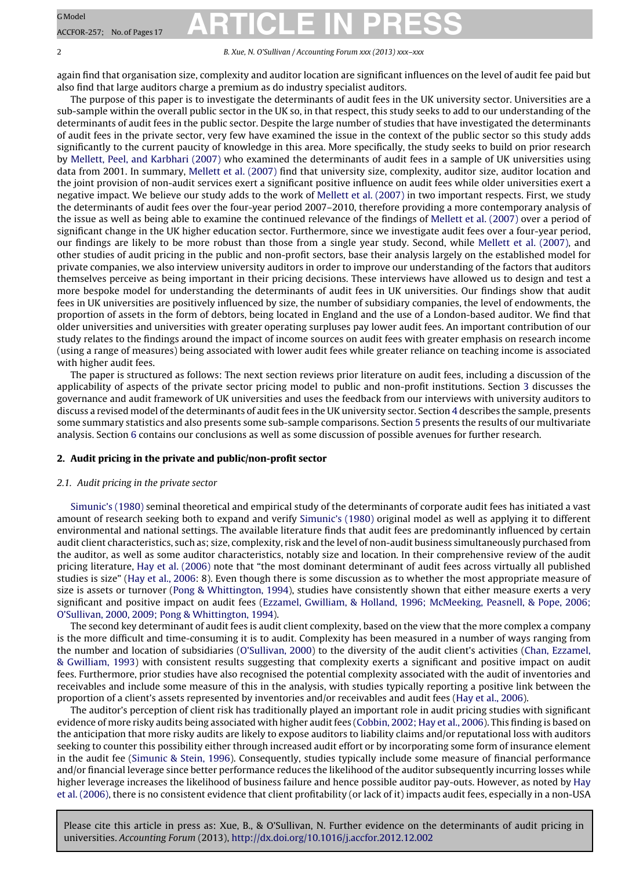## GModel ARTICLE **IN PRESS**

#### 2 B. Xue, N. O'Sullivan / Accounting Forum *xxx (2013) xxx–xxx*

again find that organisation size, complexity and auditor location are significant influences on the level of audit fee paid but also find that large auditors charge a premium as do industry specialist auditors.

The purpose of this paper is to investigate the determinants of audit fees in the UK university sector. Universities are a sub-sample within the overall public sector in the UK so, in that respect, this study seeks to add to our understanding of the determinants of audit fees in the public sector. Despite the large number of studies that have investigated the determinants of audit fees in the private sector, very few have examined the issue in the context of the public sector so this study adds significantly to the current paucity of knowledge in this area. More specifically, the study seeks to build on prior research by [Mellett,](#page--1-0) [Peel,](#page--1-0) [and](#page--1-0) [Karbhari](#page--1-0) [\(2007\)](#page--1-0) who examined the determinants of audit fees in a sample of UK universities using data from 2001. In summary, [Mellett](#page--1-0) et [al.](#page--1-0) [\(2007\)](#page--1-0) find that university size, complexity, auditor size, auditor location and the joint provision of non-audit services exert a significant positive influence on audit fees while older universities exert a negative impact. We believe our study adds to the work of [Mellett](#page--1-0) et [al.](#page--1-0) [\(2007\)](#page--1-0) in two important respects. First, we study the determinants of audit fees over the four-year period 2007–2010, therefore providing a more contemporary analysis of the issue as well as being able to examine the continued relevance of the findings of [Mellett](#page--1-0) et [al.](#page--1-0) [\(2007\)](#page--1-0) over a period of significant change in the UK higher education sector. Furthermore, since we investigate audit fees over a four-year period, our findings are likely to be more robust than those from a single year study. Second, while [Mellett](#page--1-0) et [al.](#page--1-0) [\(2007\),](#page--1-0) and other studies of audit pricing in the public and non-profit sectors, base their analysis largely on the established model for private companies, we also interview university auditors in order to improve our understanding of the factors that auditors themselves perceive as being important in their pricing decisions. These interviews have allowed us to design and test a more bespoke model for understanding the determinants of audit fees in UK universities. Our findings show that audit fees in UK universities are positively influenced by size, the number of subsidiary companies, the level of endowments, the proportion of assets in the form of debtors, being located in England and the use of a London-based auditor. We find that older universities and universities with greater operating surpluses pay lower audit fees. An important contribution of our study relates to the findings around the impact of income sources on audit fees with greater emphasis on research income (using a range of measures) being associated with lower audit fees while greater reliance on teaching income is associated with higher audit fees.

The paper is structured as follows: The next section reviews prior literature on audit fees, including a discussion of the applicability of aspects of the private sector pricing model to public and non-profit institutions. Section [3](#page--1-0) discusses the governance and audit framework of UK universities and uses the feedback from our interviews with university auditors to discuss a revised model of the determinants of audit fees in the UK university sector. Section [4](#page--1-0) describes the sample, presents some summary statistics and also presents some sub-sample comparisons. Section [5](#page--1-0) presents the results of our multivariate analysis. Section [6](#page--1-0) contains our conclusions as well as some discussion of possible avenues for further research.

#### **2. Audit pricing in the private and public/non-profit sector**

#### 2.1. Audit pricing in the private sector

[Simunic's](#page--1-0) [\(1980\)](#page--1-0) seminal theoretical and empirical study of the determinants of corporate audit fees has initiated a vast amount of research seeking both to expand and verify [Simunic's](#page--1-0) [\(1980\)](#page--1-0) original model as well as applying it to different environmental and national settings. The available literature finds that audit fees are predominantly influenced by certain audit client characteristics, such as; size, complexity, risk and the level of non-audit business simultaneously purchased from the auditor, as well as some auditor characteristics, notably size and location. In their comprehensive review of the audit pricing literature, [Hay](#page--1-0) et [al.](#page--1-0) [\(2006\)](#page--1-0) note that "the most dominant determinant of audit fees across virtually all published studies is size" [\(Hay](#page--1-0) et [al.,](#page--1-0) [2006:](#page--1-0) 8). Even though there is some discussion as to whether the most appropriate measure of size is assets or turnover ([Pong](#page--1-0) [&](#page--1-0) [Whittington,](#page--1-0) [1994\),](#page--1-0) studies have consistently shown that either measure exerts a very significant and positive impact on audit fees [\(Ezzamel,](#page--1-0) [Gwilliam,](#page--1-0) [&](#page--1-0) [Holland,](#page--1-0) [1996;](#page--1-0) [McMeeking,](#page--1-0) [Peasnell,](#page--1-0) [&](#page--1-0) [Pope,](#page--1-0) [2006;](#page--1-0) [O'Sullivan,](#page--1-0) [2000,](#page--1-0) [2009;](#page--1-0) [Pong](#page--1-0) [&](#page--1-0) [Whittington,](#page--1-0) [1994\).](#page--1-0)

The second key determinant of audit fees is audit client complexity, based on the view that the more complex a company is the more difficult and time-consuming it is to audit. Complexity has been measured in a number of ways ranging from the number and location of subsidiaries [\(O'Sullivan,](#page--1-0) [2000\)](#page--1-0) to the diversity of the audit client's activities ([Chan,](#page--1-0) [Ezzamel,](#page--1-0) [&](#page--1-0) [Gwilliam,](#page--1-0) [1993\)](#page--1-0) with consistent results suggesting that complexity exerts a significant and positive impact on audit fees. Furthermore, prior studies have also recognised the potential complexity associated with the audit of inventories and receivables and include some measure of this in the analysis, with studies typically reporting a positive link between the proportion of a client's assets represented by inventories and/or receivables and audit fees ([Hay](#page--1-0) et [al.,](#page--1-0) [2006\).](#page--1-0)

The auditor's perception of client risk has traditionally played an important role in audit pricing studies with significant evidence of more risky audits being associated with higher audit fees [\(Cobbin,](#page--1-0) [2002;](#page--1-0) [Hay](#page--1-0) et [al.,](#page--1-0) [2006\).](#page--1-0) This finding is based on the anticipation that more risky audits are likely to expose auditors to liability claims and/or reputational loss with auditors seeking to counter this possibility either through increased audit effort or by incorporating some form of insurance element in the audit fee ([Simunic](#page--1-0) [&](#page--1-0) [Stein,](#page--1-0) [1996\).](#page--1-0) Consequently, studies typically include some measure of financial performance and/or financial leverage since better performance reduces the likelihood of the auditor subsequently incurring losses while higher leverage increases the likelihood of business failure and hence possible auditor pay-outs. However, as noted by [Hay](#page--1-0) et [al.](#page--1-0) [\(2006\),](#page--1-0) there is no consistent evidence that client profitability (or lack of it) impacts audit fees, especially in a non-USA

Please cite this article in press as: Xue, B., & O'Sullivan, N. Further evidence on the determinants of audit pricing in universities. Accounting Forum (2013), [http://dx.doi.org/10.1016/j.accfor.2012.12.002](dx.doi.org/10.1016/j.accfor.2012.12.002)